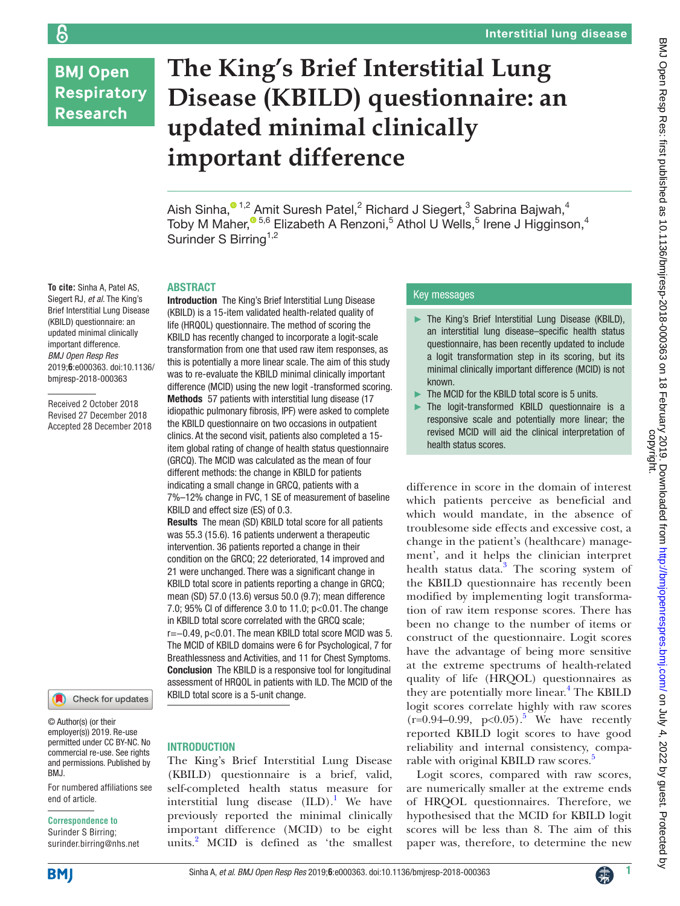# **BMJ Open Respiratory Research**

န

# **The King's Brief Interstitial Lung Disease (KBILD) questionnaire: an updated minimal clinically important difference**

Aish Sinha, $^{\circ}$  1,2 Amit Suresh Patel,<sup>2</sup> Richard J Siegert,<sup>3</sup> Sabrina Bajwah,<sup>4</sup> Toby M Maher,<sup>® 5,6</sup> Elizabeth A Renzoni,<sup>5</sup> Athol U Wells,<sup>5</sup> Irene J Higginson,<sup>4</sup> Surinder S Birring<sup>1,2</sup>

# **ARSTRACT**

Introduction The King's Brief Interstitial Lung Disease (KBILD) is a 15-item validated health-related quality of life (HRQOL) questionnaire. The method of scoring the KBILD has recently changed to incorporate a logit-scale transformation from one that used raw item responses, as this is potentially a more linear scale. The aim of this study was to re-evaluate the KBILD minimal clinically important difference (MCID) using the new logit -transformed scoring. Methods 57 patients with interstitial lung disease (17 idiopathic pulmonary fibrosis, IPF) were asked to complete the KBILD questionnaire on two occasions in outpatient clinics. At the second visit, patients also completed a 15 item global rating of change of health status questionnaire (GRCQ). The MCID was calculated as the mean of four different methods: the change in KBILD for patients indicating a small change in GRCQ, patients with a 7%–12% change in FVC, 1 SE of measurement of baseline KBILD and effect size (ES) of 0.3.

Results The mean (SD) KBILD total score for all patients was 55.3 (15.6). 16 patients underwent a therapeutic intervention. 36 patients reported a change in their condition on the GRCQ; 22 deteriorated, 14 improved and 21 were unchanged. There was a significant change in KBILD total score in patients reporting a change in GRCQ; mean (SD) 57.0 (13.6) versus 50.0 (9.7); mean difference 7.0; 95% CI of difference 3.0 to 11.0; p<0.01. The change in KBILD total score correlated with the GRCQ scale; r=−0.49, p<0.01. The mean KBILD total score MCID was 5. The MCID of KBILD domains were 6 for Psychological, 7 for Breathlessness and Activities, and 11 for Chest Symptoms. Conclusion The KBILD is a responsive tool for longitudinal assessment of HRQOL in patients with ILD. The MCID of the KBILD total score is a 5-unit change.

#### Siegert RJ, *et al*. The King's Brief Interstitial Lung Disease (KBILD) questionnaire: an updated minimal clinically important difference. *BMJ Open Resp Res* 2019;**6**:e000363. doi:10.1136/ bmjresp-2018-000363

**To cite:** Sinha A, Patel AS,

Received 2 October 2018 Revised 27 December 2018 Accepted 28 December 2018



© Author(s) (or their employer(s)) 2019. Re-use permitted under CC BY-NC. No commercial re-use. See rights and permissions. Published by BMJ.

For numbered affiliations see end of article.

#### **Correspondence to**

Surinder S Birring; surinder.birring@nhs.net

# **INTRODUCTION**

The King's Brief Interstitial Lung Disease (KBILD) questionnaire is a brief, valid, self-completed health status measure for interstitial lung disease  $(ILD).<sup>1</sup>$  We have previously reported the minimal clinically important difference (MCID) to be eight units.[2](#page-3-1) MCID is defined as 'the smallest

# Key messages

- ► The King's Brief Interstitial Lung Disease (KBILD), an interstitial lung disease–specific health status questionnaire, has been recently updated to include a logit transformation step in its scoring, but its minimal clinically important difference (MCID) is not known.
- ► The MCID for the KBILD total score is 5 units.
- The logit-transformed KBILD questionnaire is a responsive scale and potentially more linear; the revised MCID will aid the clinical interpretation of health status scores.

difference in score in the domain of interest which patients perceive as beneficial and which would mandate, in the absence of troublesome side effects and excessive cost, a change in the patient's (healthcare) management', and it helps the clinician interpret health status data.<sup>[3](#page-3-2)</sup> The scoring system of the KBILD questionnaire has recently been modified by implementing logit transformation of raw item response scores. There has been no change to the number of items or construct of the questionnaire. Logit scores have the advantage of being more sensitive at the extreme spectrums of health-related quality of life (HRQOL) questionnaires as they are potentially more linear.<sup>4</sup> The KBILD logit scores correlate highly with raw scores  $(r=0.94-0.99, p<0.05).$  $(r=0.94-0.99, p<0.05).$  $(r=0.94-0.99, p<0.05).$ <sup>5</sup> We have recently reported KBILD logit scores to have good reliability and internal consistency, comparable with original KBILD raw scores.<sup>5</sup>

Logit scores, compared with raw scores, are numerically smaller at the extreme ends of HRQOL questionnaires. Therefore, we hypothesised that the MCID for KBILD logit scores will be less than 8. The aim of this paper was, therefore, to determine the new

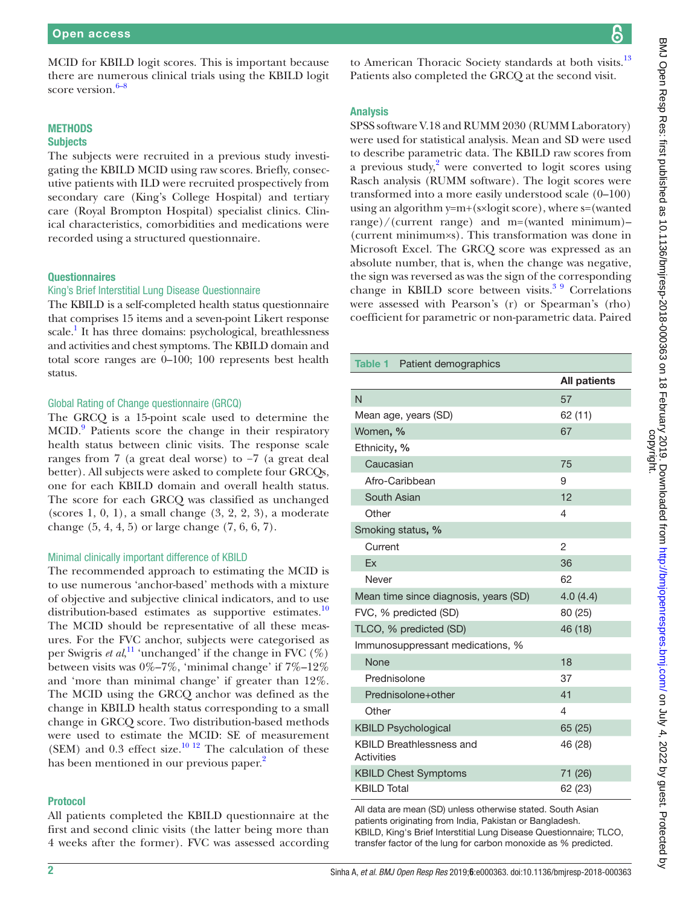MCID for KBILD logit scores. This is important because there are numerous clinical trials using the KBILD logit score version. $6-8$ 

# **METHODS Subjects**

The subjects were recruited in a previous study investigating the KBILD MCID using raw scores. Briefly, consecutive patients with ILD were recruited prospectively from secondary care (King's College Hospital) and tertiary care (Royal Brompton Hospital) specialist clinics. Clinical characteristics, comorbidities and medications were recorded using a structured questionnaire.

# **Questionnaires**

# King's Brief Interstitial Lung Disease Questionnaire

The KBILD is a self-completed health status questionnaire that comprises 15 items and a seven-point Likert response scale.<sup>1</sup> It has three domains: psychological, breathlessness and activities and chest symptoms. The KBILD domain and total score ranges are 0–100; 100 represents best health status.

# Global Rating of Change questionnaire (GRCQ)

The GRCQ is a 15-point scale used to determine the MCID.<sup>[9](#page-3-6)</sup> Patients score the change in their respiratory health status between clinic visits. The response scale ranges from 7 (a great deal worse) to −7 (a great deal better). All subjects were asked to complete four GRCQs, one for each KBILD domain and overall health status. The score for each GRCQ was classified as unchanged (scores 1, 0, 1), a small change (3, 2, 2, 3), a moderate change (5, 4, 4, 5) or large change (7, 6, 6, 7).

# Minimal clinically important difference of KBILD

The recommended approach to estimating the MCID is to use numerous 'anchor-based' methods with a mixture of objective and subjective clinical indicators, and to use distribution-based estimates as supportive estimates.<sup>[10](#page-3-7)</sup> The MCID should be representative of all these measures. For the FVC anchor, subjects were categorised as per Swigris *et al*,<sup>11</sup> 'unchanged' if the change in FVC (%) between visits was 0%–7%, 'minimal change' if 7%–12% and 'more than minimal change' if greater than 12%. The MCID using the GRCQ anchor was defined as the change in KBILD health status corresponding to a small change in GRCQ score. Two distribution-based methods were used to estimate the MCID: SE of measurement (SEM) and  $0.3$  effect size.<sup>[10 12](#page-3-7)</sup> The calculation of these has been mentioned in our previous paper.<sup>[2](#page-3-1)</sup>

#### Protocol

All patients completed the KBILD questionnaire at the first and second clinic visits (the latter being more than 4 weeks after the former). FVC was assessed according to American Thoracic Society standards at both visits.<sup>13</sup> Patients also completed the GRCQ at the second visit.

# Analysis

SPSS software V.18 and RUMM 2030 (RUMM Laboratory) were used for statistical analysis. Mean and SD were used to describe parametric data. The KBILD raw scores from a previous study, $2$  were converted to logit scores using Rasch analysis (RUMM software). The logit scores were transformed into a more easily understood scale (0–100) using an algorithm y=m+(s×logit score), where s=(wanted range)/(current range) and m=(wanted minimum)– (current minimum×s). This transformation was done in Microsoft Excel. The GRCQ score was expressed as an absolute number, that is, when the change was negative, the sign was reversed as was the sign of the corresponding change in KBILD score between visits. $39$  Correlations were assessed with Pearson's (r) or Spearman's (rho) coefficient for parametric or non-parametric data. Paired

<span id="page-1-0"></span>

| Table 1 Patient demographics                  |                     |  |  |  |  |
|-----------------------------------------------|---------------------|--|--|--|--|
|                                               | <b>All patients</b> |  |  |  |  |
| N                                             | 57                  |  |  |  |  |
| Mean age, years (SD)                          | 62 (11)             |  |  |  |  |
| Women, %                                      | 67                  |  |  |  |  |
| Ethnicity, %                                  |                     |  |  |  |  |
| Caucasian                                     | 75                  |  |  |  |  |
| Afro-Caribbean                                | 9                   |  |  |  |  |
| South Asian                                   | 12                  |  |  |  |  |
| Other                                         | 4                   |  |  |  |  |
| Smoking status, %                             |                     |  |  |  |  |
| Current                                       | 2                   |  |  |  |  |
| Fx                                            | 36                  |  |  |  |  |
| Never                                         | 62                  |  |  |  |  |
| Mean time since diagnosis, years (SD)         | 4.0(4.4)            |  |  |  |  |
| FVC, % predicted (SD)                         | 80 (25)             |  |  |  |  |
| TLCO, % predicted (SD)                        | 46 (18)             |  |  |  |  |
| Immunosuppressant medications, %              |                     |  |  |  |  |
| None                                          | 18                  |  |  |  |  |
| Prednisolone                                  | 37                  |  |  |  |  |
| Prednisolone+other                            | 41                  |  |  |  |  |
| Other                                         | 4                   |  |  |  |  |
| <b>KBILD Psychological</b>                    | 65 (25)             |  |  |  |  |
| <b>KBILD Breathlessness and</b><br>Activities | 46 (28)             |  |  |  |  |
| <b>KBILD Chest Symptoms</b>                   | 71 (26)             |  |  |  |  |
| <b>KBILD Total</b>                            | 62 (23)             |  |  |  |  |

All data are mean (SD) unless otherwise stated. South Asian patients originating from India, Pakistan or Bangladesh. KBILD, King's Brief Interstitial Lung Disease Questionnaire; TLCO, transfer factor of the lung for carbon monoxide as % predicted.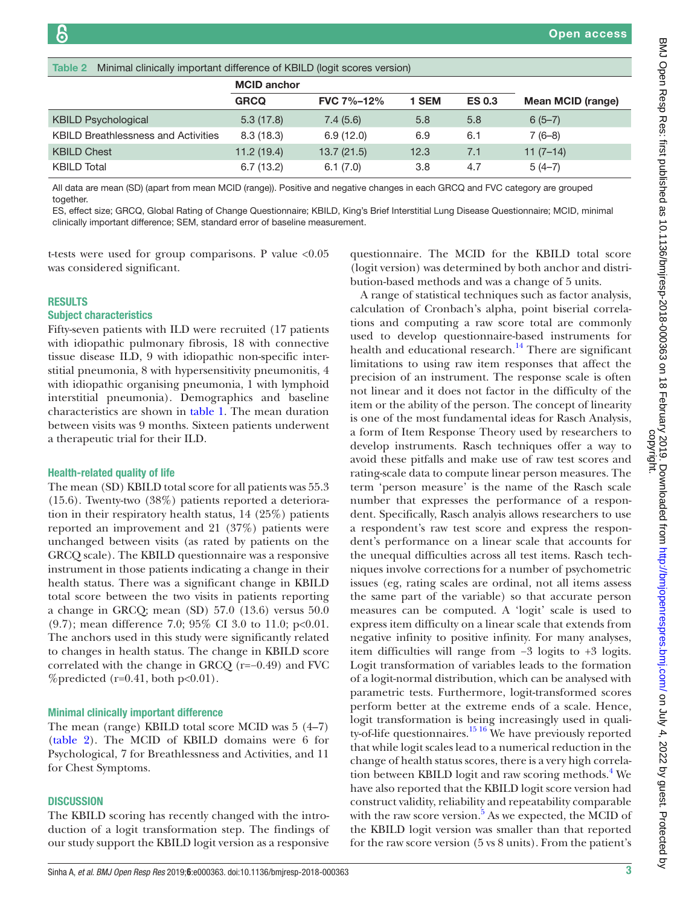<span id="page-2-0"></span>

| Minimal clinically important difference of KBILD (logit scores version)<br>Table 2 |                    |                   |       |               |                          |  |  |
|------------------------------------------------------------------------------------|--------------------|-------------------|-------|---------------|--------------------------|--|--|
|                                                                                    | <b>MCID anchor</b> |                   |       |               |                          |  |  |
|                                                                                    | <b>GRCQ</b>        | <b>FVC 7%-12%</b> | 1 SEM | <b>ES 0.3</b> | <b>Mean MCID (range)</b> |  |  |
| <b>KBILD Psychological</b>                                                         | 5.3(17.8)          | 7.4(5.6)          | 5.8   | 5.8           | $6(5-7)$                 |  |  |
| <b>KBILD Breathlessness and Activities</b>                                         | 8.3(18.3)          | 6.9(12.0)         | 6.9   | 6.1           | $7(6-8)$                 |  |  |
| <b>KBILD Chest</b>                                                                 | 11.2(19.4)         | 13.7(21.5)        | 12.3  | 7.1           | $11(7-14)$               |  |  |
| <b>KBILD Total</b>                                                                 | 6.7(13.2)          | 6.1(7.0)          | 3.8   | 4.7           | $5(4-7)$                 |  |  |

All data are mean (SD) (apart from mean MCID (range)). Positive and negative changes in each GRCQ and FVC category are grouped together.

ES, effect size; GRCQ, Global Rating of Change Questionnaire; KBILD, King's Brief Interstitial Lung Disease Questionnaire; MCID, minimal clinically important difference; SEM, standard error of baseline measurement.

t-tests were used for group comparisons. P value <0.05 was considered significant.

#### **RESULTS**

#### Subject characteristics

Fifty-seven patients with ILD were recruited (17 patients with idiopathic pulmonary fibrosis, 18 with connective tissue disease ILD, 9 with idiopathic non-specific interstitial pneumonia, 8 with hypersensitivity pneumonitis, 4 with idiopathic organising pneumonia, 1 with lymphoid interstitial pneumonia). Demographics and baseline characteristics are shown in [table](#page-1-0) 1. The mean duration between visits was 9 months. Sixteen patients underwent a therapeutic trial for their ILD.

#### Health-related quality of life

The mean (SD) KBILD total score for all patients was 55.3 (15.6). Twenty-two (38%) patients reported a deterioration in their respiratory health status, 14 (25%) patients reported an improvement and 21 (37%) patients were unchanged between visits (as rated by patients on the GRCQ scale). The KBILD questionnaire was a responsive instrument in those patients indicating a change in their health status. There was a significant change in KBILD total score between the two visits in patients reporting a change in GRCQ; mean (SD) 57.0 (13.6) versus 50.0 (9.7); mean difference 7.0; 95% CI 3.0 to 11.0; p<0.01. The anchors used in this study were significantly related to changes in health status. The change in KBILD score correlated with the change in GRCQ (r=−0.49) and FVC %predicted ( $r=0.41$ , both  $p<0.01$ ).

#### Minimal clinically important difference

The mean (range) KBILD total score MCID was 5 (4–7) [\(table](#page-2-0) 2). The MCID of KBILD domains were 6 for Psychological, 7 for Breathlessness and Activities, and 11 for Chest Symptoms.

#### **DISCUSSION**

The KBILD scoring has recently changed with the introduction of a logit transformation step. The findings of our study support the KBILD logit version as a responsive

calculation of Cronbach's alpha, point biserial correlations and computing a raw score total are commonly used to develop questionnaire-based instruments for

questionnaire. The MCID for the KBILD total score (logit version) was determined by both anchor and distribution-based methods and was a change of 5 units.

A range of statistical techniques such as factor analysis,

health and educational research.<sup>[14](#page-4-2)</sup> There are significant limitations to using raw item responses that affect the precision of an instrument. The response scale is often not linear and it does not factor in the difficulty of the item or the ability of the person. The concept of linearity is one of the most fundamental ideas for Rasch Analysis, a form of Item Response Theory used by researchers to develop instruments. Rasch techniques offer a way to avoid these pitfalls and make use of raw test scores and rating-scale data to compute linear person measures. The term 'person measure' is the name of the Rasch scale number that expresses the performance of a respondent. Specifically, Rasch analyis allows researchers to use a respondent's raw test score and express the respondent's performance on a linear scale that accounts for the unequal difficulties across all test items. Rasch techniques involve corrections for a number of psychometric issues (eg, rating scales are ordinal, not all items assess the same part of the variable) so that accurate person measures can be computed. A 'logit' scale is used to express item difficulty on a linear scale that extends from negative infinity to positive infinity. For many analyses, item difficulties will range from −3 logits to +3 logits. Logit transformation of variables leads to the formation of a logit-normal distribution, which can be analysed with parametric tests. Furthermore, logit-transformed scores perform better at the extreme ends of a scale. Hence, logit transformation is being increasingly used in quality-of-life questionnaires.<sup>15 16</sup> We have previously reported that while logit scales lead to a numerical reduction in the change of health status scores, there is a very high correla-tion between KBILD logit and raw scoring methods.<sup>[4](#page-3-3)</sup> We have also reported that the KBILD logit score version had construct validity, reliability and repeatability comparable with the raw score version.<sup>[5](#page-3-4)</sup> As we expected, the MCID of the KBILD logit version was smaller than that reported for the raw score version (5 vs 8 units). From the patient's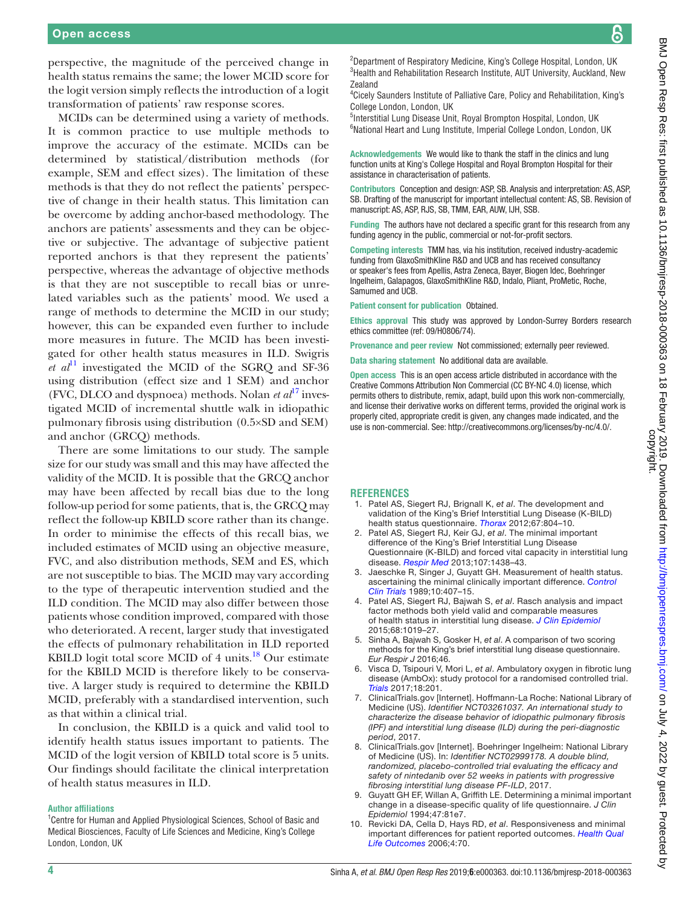န္က

perspective, the magnitude of the perceived change in health status remains the same; the lower MCID score for the logit version simply reflects the introduction of a logit transformation of patients' raw response scores.

MCIDs can be determined using a variety of methods. It is common practice to use multiple methods to improve the accuracy of the estimate. MCIDs can be determined by statistical/distribution methods (for example, SEM and effect sizes). The limitation of these methods is that they do not reflect the patients' perspective of change in their health status. This limitation can be overcome by adding anchor-based methodology. The anchors are patients' assessments and they can be objective or subjective. The advantage of subjective patient reported anchors is that they represent the patients' perspective, whereas the advantage of objective methods is that they are not susceptible to recall bias or unrelated variables such as the patients' mood. We used a range of methods to determine the MCID in our study; however, this can be expanded even further to include more measures in future. The MCID has been investigated for other health status measures in ILD. Swigris *et al*<sup>[11](#page-4-0)</sup> investigated the MCID of the SGRQ and SF-36 using distribution (effect size and 1 SEM) and anchor (FVC, DLCO and dyspnoea) methods. Nolan  $et al^{17}$  $et al^{17}$  $et al^{17}$  investigated MCID of incremental shuttle walk in idiopathic pulmonary fibrosis using distribution (0.5×SD and SEM) and anchor (GRCQ) methods.

There are some limitations to our study. The sample size for our study was small and this may have affected the validity of the MCID. It is possible that the GRCQ anchor may have been affected by recall bias due to the long follow-up period for some patients, that is, the GRCQ may reflect the follow-up KBILD score rather than its change. In order to minimise the effects of this recall bias, we included estimates of MCID using an objective measure, FVC, and also distribution methods, SEM and ES, which are not susceptible to bias. The MCID may vary according to the type of therapeutic intervention studied and the ILD condition. The MCID may also differ between those patients whose condition improved, compared with those who deteriorated. A recent, larger study that investigated the effects of pulmonary rehabilitation in ILD reported KBILD logit total score MCID of 4 units.<sup>18</sup> Our estimate for the KBILD MCID is therefore likely to be conservative. A larger study is required to determine the KBILD MCID, preferably with a standardised intervention, such as that within a clinical trial.

In conclusion, the KBILD is a quick and valid tool to identify health status issues important to patients. The MCID of the logit version of KBILD total score is 5 units. Our findings should facilitate the clinical interpretation of health status measures in ILD.

#### **Author affiliations**

<sup>1</sup> Centre for Human and Applied Physiological Sciences, School of Basic and Medical Biosciences, Faculty of Life Sciences and Medicine, King's College London, London, UK

<sup>2</sup>Department of Respiratory Medicine, King's College Hospital, London, UK <sup>3</sup> Health and Rehabilitation Research Institute, AUT University, Auckland, New Zealand

4 Cicely Saunders Institute of Palliative Care, Policy and Rehabilitation, King's College London, London, UK

<sup>5</sup>Interstitial Lung Disease Unit, Royal Brompton Hospital, London, UK 6 National Heart and Lung Institute, Imperial College London, London, UK

Acknowledgements We would like to thank the staff in the clinics and lung function units at King's College Hospital and Royal Brompton Hospital for their assistance in characterisation of patients.

Contributors Conception and design: ASP, SB. Analysis and interpretation: AS, ASP, SB. Drafting of the manuscript for important intellectual content: AS, SB. Revision of manuscript: AS, ASP, RJS, SB, TMM, EAR, AUW, IJH, SSB.

Funding The authors have not declared a specific grant for this research from any funding agency in the public, commercial or not-for-profit sectors.

Competing interests TMM has, via his institution, received industry-academic funding from GlaxoSmithKline R&D and UCB and has received consultancy or speaker's fees from Apellis, Astra Zeneca, Bayer, Biogen Idec, Boehringer Ingelheim, Galapagos, GlaxoSmithKline R&D, Indalo, Pliant, ProMetic, Roche, Samumed and UCB.

Patient consent for publication Obtained.

Ethics approval This study was approved by London-Surrey Borders research ethics committee (ref: 09/H0806/74).

Provenance and peer review Not commissioned; externally peer reviewed.

Data sharing statement No additional data are available.

Open access This is an open access article distributed in accordance with the Creative Commons Attribution Non Commercial (CC BY-NC 4.0) license, which permits others to distribute, remix, adapt, build upon this work non-commercially, and license their derivative works on different terms, provided the original work is properly cited, appropriate credit is given, any changes made indicated, and the use is non-commercial. See: <http://creativecommons.org/licenses/by-nc/4.0/>.

#### **References**

- <span id="page-3-0"></span>1. Patel AS, Siegert RJ, Brignall K, *et al*. The development and validation of the King's Brief Interstitial Lung Disease (K-BILD) health status questionnaire. *[Thorax](http://dx.doi.org/10.1136/thoraxjnl-2012-201581)* 2012;67:804–10.
- <span id="page-3-1"></span>2. Patel AS, Siegert RJ, Keir GJ, *et al*. The minimal important difference of the King's Brief Interstitial Lung Disease Questionnaire (K-BILD) and forced vital capacity in interstitial lung disease. *[Respir Med](http://dx.doi.org/10.1016/j.rmed.2013.06.009)* 2013;107:1438–43.
- <span id="page-3-2"></span>3. Jaeschke R, Singer J, Guyatt GH. Measurement of health status. ascertaining the minimal clinically important difference. *[Control](http://www.ncbi.nlm.nih.gov/pubmed/2691207)  [Clin Trials](http://www.ncbi.nlm.nih.gov/pubmed/2691207)* 1989;10:407–15.
- <span id="page-3-3"></span>4. Patel AS, Siegert RJ, Bajwah S, *et al*. Rasch analysis and impact factor methods both yield valid and comparable measures of health status in interstitial lung disease. *[J Clin Epidemiol](http://dx.doi.org/10.1016/j.jclinepi.2015.03.021)* 2015;68:1019–27.
- <span id="page-3-4"></span>5. Sinha A, Bajwah S, Gosker H, *et al*. A comparison of two scoring methods for the King's brief interstitial lung disease questionnaire. *Eur Respir J* 2016;46.
- <span id="page-3-5"></span>6. Visca D, Tsipouri V, Mori L, *et al*. Ambulatory oxygen in fibrotic lung disease (AmbOx): study protocol for a randomised controlled trial. *[Trials](http://dx.doi.org/10.1186/s13063-017-1912-9)* 2017;18:201.
- 7. ClinicalTrials.gov [Internet]. Hoffmann-La Roche: National Library of Medicine (US). *Identifier NCT03261037. An international study to characterize the disease behavior of idiopathic pulmonary fibrosis (IPF) and interstitial lung disease (ILD) during the peri-diagnostic period*, 2017.
- 8. ClinicalTrials.gov [Internet]. Boehringer Ingelheim: National Library of Medicine (US). In: *Identifier NCT02999178. A double blind, randomized, placebo-controlled trial evaluating the efficacy and safety of nintedanib over 52 weeks in patients with progressive fibrosing interstitial lung disease PF-ILD*, 2017.
- <span id="page-3-6"></span>9. Guyatt GH EF, Willan A, Griffith LE. Determining a minimal important change in a disease-specific quality of life questionnaire. *J Clin Epidemiol* 1994;47:81e7.
- <span id="page-3-7"></span>10. Revicki DA, Cella D, Hays RD, *et al*. Responsiveness and minimal important differences for patient reported outcomes. *[Health Qual](http://dx.doi.org/10.1186/1477-7525-4-70)  [Life Outcomes](http://dx.doi.org/10.1186/1477-7525-4-70)* 2006;4:70.